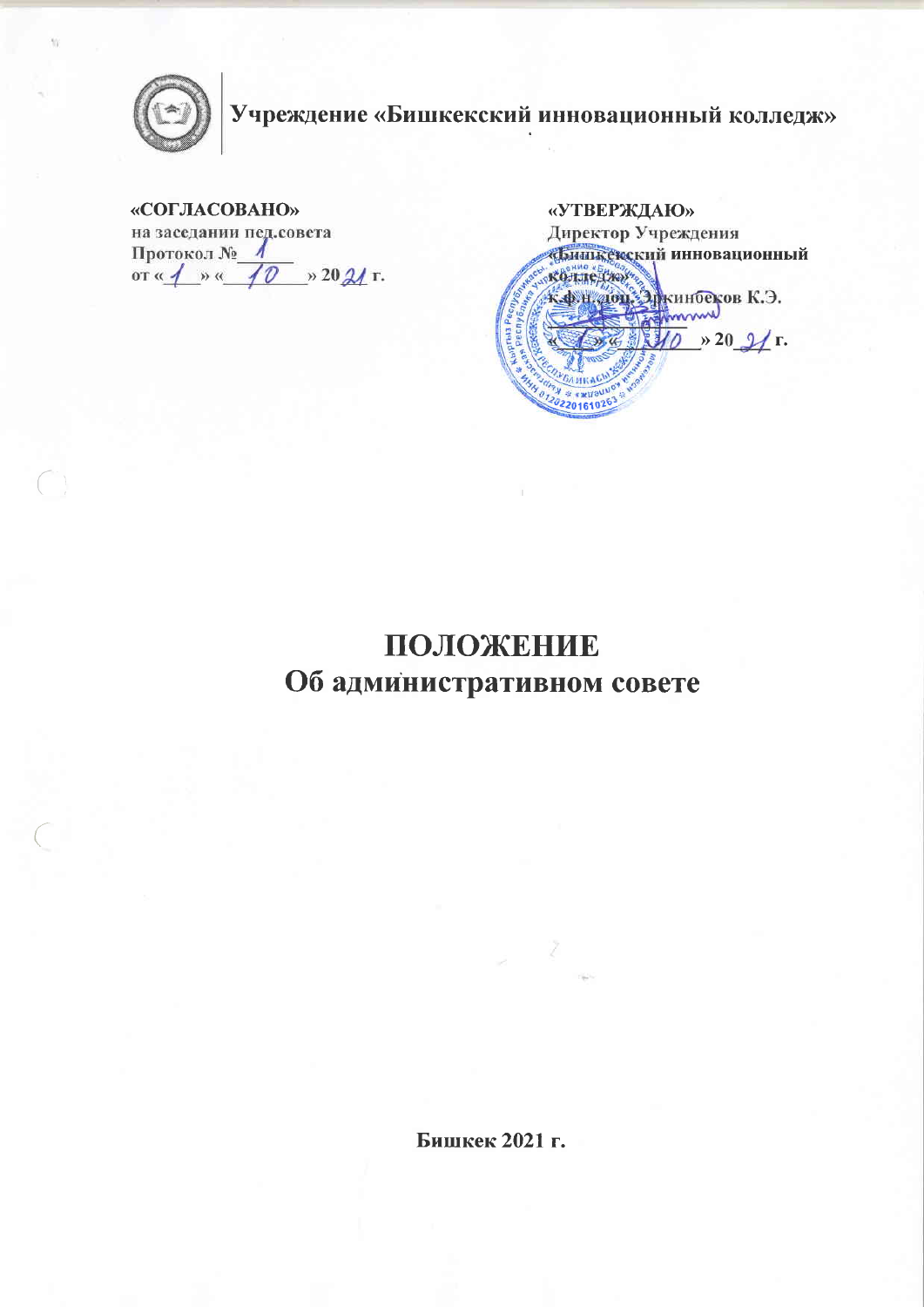

# Учреждение «Бишкекский инновационный колледж»

### «СОГЛАСОВАНО»

на заседании пед.совета Протокол № or  $\frac{1}{4}$  »  $\frac{1}{4}$  » 20  $\frac{2}{4}$  r.

«УТВЕРЖДАЮ» Директор Учреждения «Бишкетский инновационный колледжу K. O. H. TON. 31 KHITOEKOB K. O. SE 10 > 20 2/ г. 0220161026

## ПОЛОЖЕНИЕ Об административном совете

Бишкек 2021 г.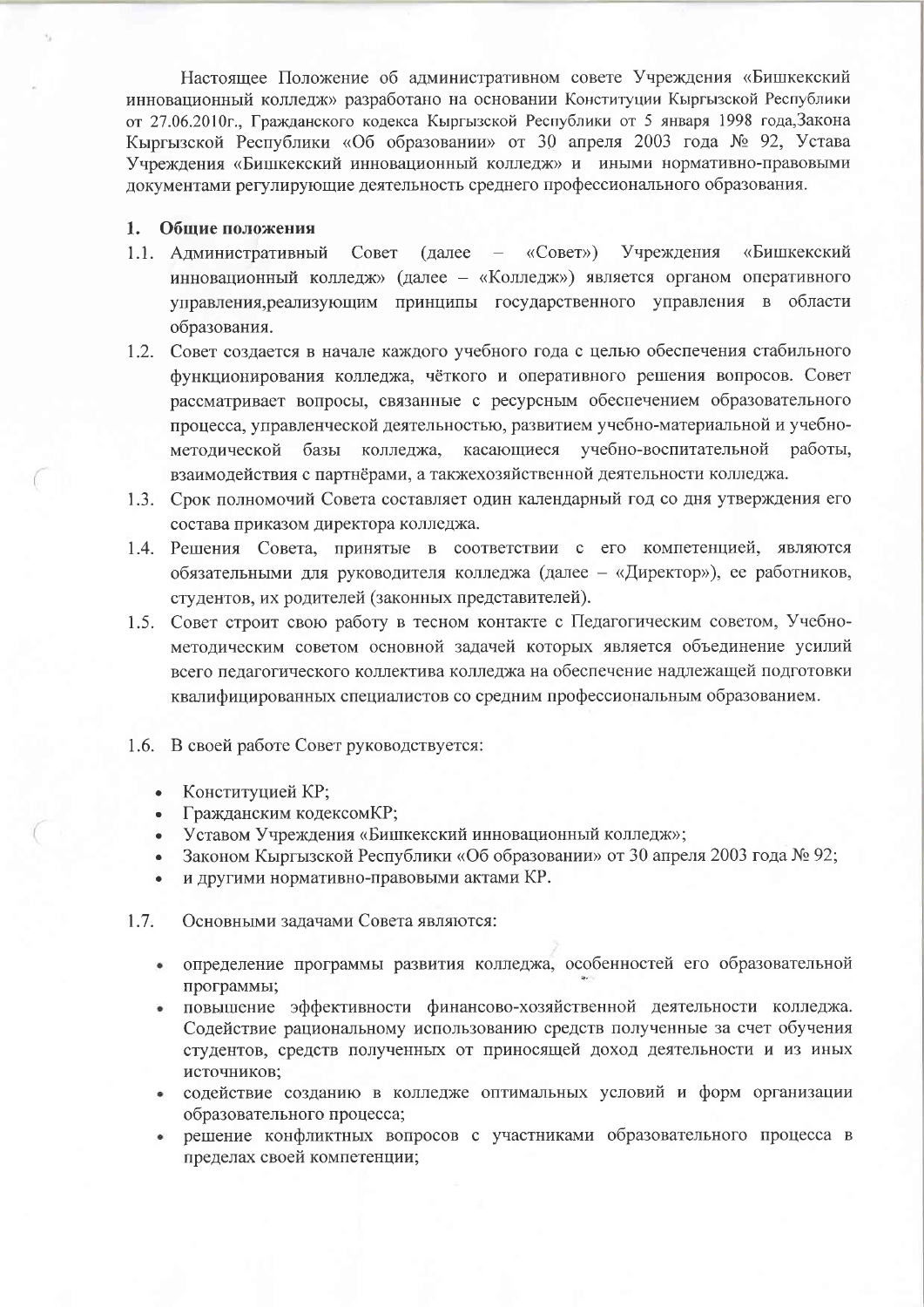Настоящее Положение об административном совете Учреждения «Бишкекский инновационный колледж» разработано на основании Конституции Кыргызской Республики от 27.06.2010г., Гражданского кодекса Кыргызской Республики от 5 января 1998 года, Закона Кыргызской Республики «Об образовании» от 30 апреля 2003 года № 92, Устава Учреждения «Бишкекский инновационный колледж» и иными нормативно-правовыми документами регулирующие деятельность среднего профессионального образования.

#### 1. Общие положения

- 1.1. Административный Учреждения Совет  $(a^{\text{angle}} \langle \langle \text{Cober} \rangle \rangle$ «Бишкекский инновационный колледж» (далее - «Колледж») является органом оперативного управления, реализующим принципы государственного управления в области образования.
- 1.2. Совет создается в начале каждого учебного года с целью обеспечения стабильного функционирования колледжа, чёткого и оперативного решения вопросов. Совет рассматривает вопросы, связанные с ресурсным обеспечением образовательного процесса, управленческой деятельностью, развитием учебно-материальной и учебнометодической базы колледжа, касающиеся учебно-воспитательной работы, взаимодействия с партнёрами, а такжехозяйственной деятельности колледжа.
- 1.3. Срок полномочий Совета составляет один календарный год со дня утверждения его состава приказом директора колледжа.
- 1.4. Решения Совета, принятые в соответствии с его компетенцией, являются обязательными для руководителя колледжа (далее - «Директор»), ее работников, студентов, их родителей (законных представителей).
- 1.5. Совет строит свою работу в тесном контакте с Педагогическим советом, Учебнометодическим советом основной задачей которых является объединение усилий всего педагогического коллектива колледжа на обеспечение надлежащей подготовки квалифицированных специалистов со средним профессиональным образованием.
- 1.6. В своей работе Совет руководствуется:
	- Конституцией КР;
	- Гражданским кодексомКР;
	- Уставом Учреждения «Бишкекский инновационный колледж»;
	- Законом Кыргызской Республики «Об образовании» от 30 апреля 2003 года № 92;
	- и другими нормативно-правовыми актами КР.
- $1.7.$ Основными задачами Совета являются:
	- определение программы развития колледжа, особенностей его образовательной программы;
	- повышение эффективности финансово-хозяйственной деятельности колледжа.  $\bullet$ Содействие рациональному использованию средств полученные за счет обучения студентов, средств полученных от приносящей доход деятельности и из иных источников;
	- содействие созданию в колледже оптимальных условий и форм организации образовательного процесса;
	- решение конфликтных вопросов с участниками образовательного процесса в  $\bullet$ пределах своей компетенции;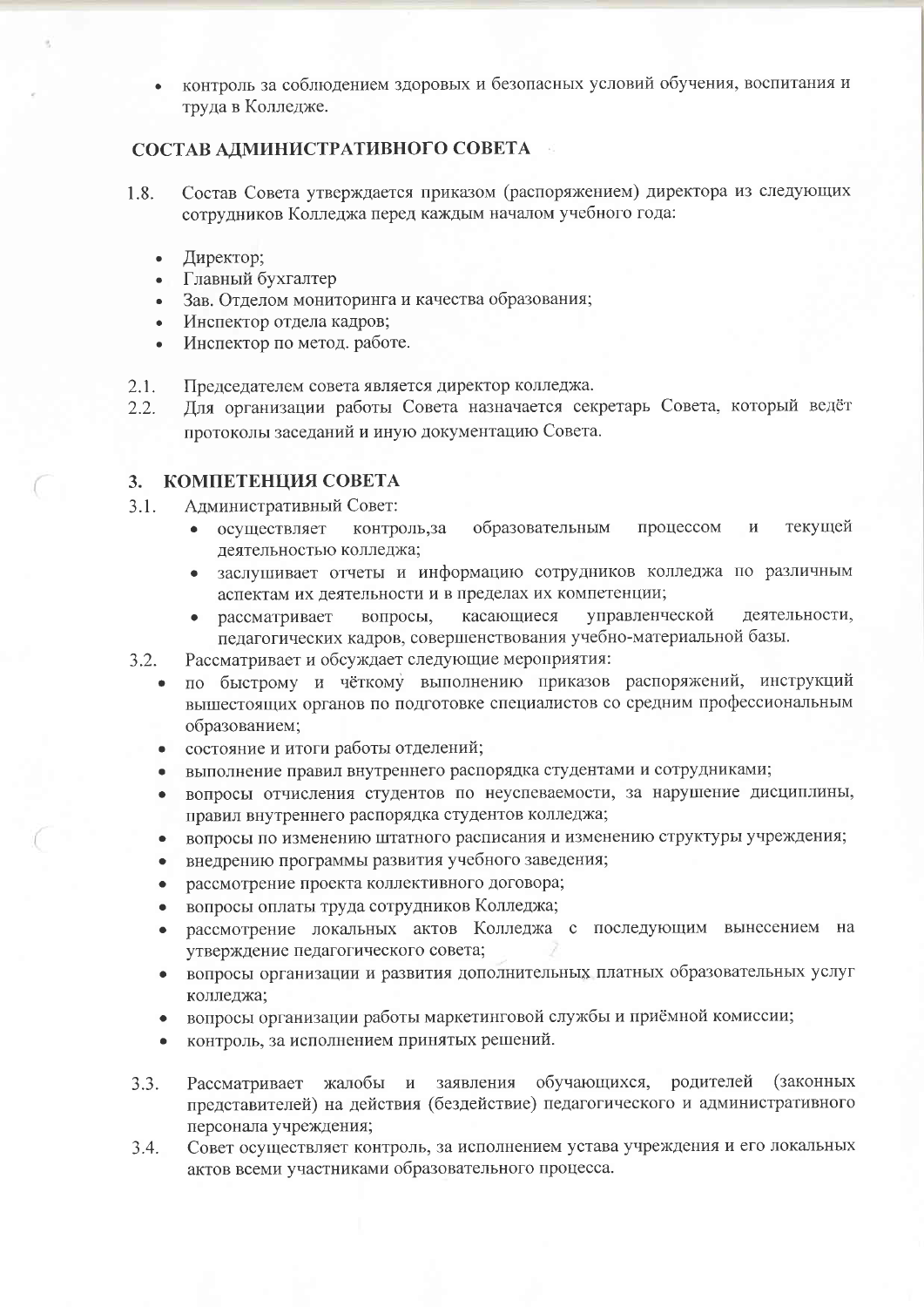контроль за соблюдением здоровых и безопасных условий обучения, воспитания и труда в Колледже.

## СОСТАВ АДМИНИСТРАТИВНОГО СОВЕТА

- Состав Совета утверждается приказом (распоряжением) директора из следующих 1.8. сотрудников Колледжа перед каждым началом учебного года:
	- Директор;  $\bullet$
	- Главный бухгалтер
	- Зав. Отделом мониторинга и качества образования;
	- Инспектор отдела кадров;
	- Инспектор по метод. работе.
- Председателем совета является директор колледжа.  $2.1.$
- Для организации работы Совета назначается секретарь Совета, который ведёт  $2.2.$ протоколы заседаний и иную документацию Совета.

## 3. КОМПЕТЕНЦИЯ СОВЕТА

- $3.1.$ Административный Совет:
	- процессом текущей контроль, за образовательным  $\overline{M}$  $\bullet$ осуществляет деятельностью колледжа;
	- заслушивает отчеты и информацию сотрудников колледжа по различным  $\bullet$ аспектам их деятельности и в пределах их компетенции;
	- рассматривает касающиеся управленческой деятельности, вопросы, педагогических кадров, совершенствования учебно-материальной базы.
- $3.2.$ Рассматривает и обсуждает следующие мероприятия:
	- по быстрому и чёткому выполнению приказов распоряжений, инструкций вышестоящих органов по подготовке специалистов со средним профессиональным образованием;
	- состояние и итоги работы отделений;
	- выполнение правил внутреннего распорядка студентами и сотрудниками;
	- вопросы отчисления студентов по неуспеваемости, за нарушение дисциплины, правил внутреннего распорядка студентов колледжа;
	- вопросы по изменению штатного расписания и изменению структуры учреждения;
	- внедрению программы развития учебного заведения;  $\bullet$
	- рассмотрение проекта коллективного договора;  $\bullet$
	- вопросы оплаты труда сотрудников Колледжа;  $\bullet$
	- рассмотрение локальных актов Колледжа с последующим вынесением на утверждение педагогического совета;
	- вопросы организации и развития дополнительных платных образовательных услуг колледжа:
	- вопросы организации работы маркетинговой службы и приёмной комиссии;  $\bullet$
	- контроль, за исполнением принятых решений.
- обучающихся, родителей (законных  $3.3.$ Рассматривает жалобы и заявления представителей) на действия (бездействие) педагогического и административного персонала учреждения;
- Совет осуществляет контроль, за исполнением устава учреждения и его локальных  $3.4.$ актов всеми участниками образовательного процесса.